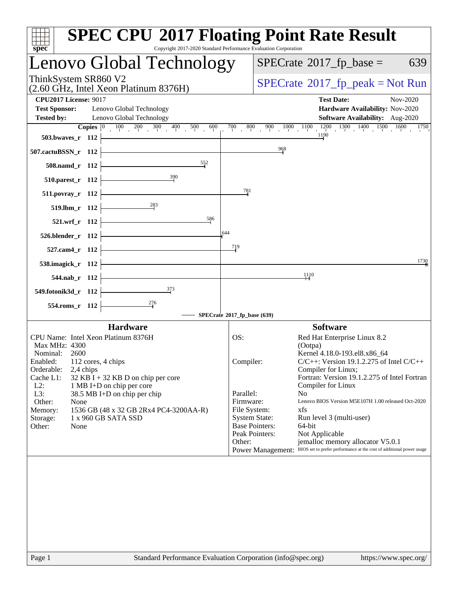| spec <sup>®</sup>                                    | <b>SPEC CPU®2017 Floating Point Rate Result</b><br>Copyright 2017-2020 Standard Performance Evaluation Corporation |                             |                                         |                                                                                                                                                                                    |
|------------------------------------------------------|--------------------------------------------------------------------------------------------------------------------|-----------------------------|-----------------------------------------|------------------------------------------------------------------------------------------------------------------------------------------------------------------------------------|
|                                                      | Lenovo Global Technology                                                                                           |                             |                                         | $SPECrate^{\circ}2017$ _fp_base =<br>639                                                                                                                                           |
| ThinkSystem SR860 V2                                 | (2.60 GHz, Intel Xeon Platinum 8376H)                                                                              |                             |                                         | $SPECrate^{\circ}2017rfp peak = Not Run$                                                                                                                                           |
| <b>CPU2017 License: 9017</b><br><b>Test Sponsor:</b> | Lenovo Global Technology                                                                                           |                             |                                         | <b>Test Date:</b><br>Nov-2020<br>Hardware Availability: Nov-2020                                                                                                                   |
| <b>Tested by:</b>                                    | Lenovo Global Technology                                                                                           |                             |                                         | <b>Software Availability:</b> Aug-2020                                                                                                                                             |
| 503.bwaves_r 112                                     | <b>Copies</b> $\begin{bmatrix} 0 & 100 & 200 & 300 & 400 & 500 \end{bmatrix}$<br>600                               | $\overline{700}$            | 800                                     | $\frac{900}{1000} - \frac{1000}{1000} - \frac{1100}{1190} - \frac{1200}{1000} - \frac{1300}{1000} - \frac{1400}{1000} - \frac{1500}{1000} - \frac{1600}{1000} - \frac{1750}{1000}$ |
| 507.cactuBSSN_r 112                                  |                                                                                                                    |                             | $\frac{968}{9}$                         |                                                                                                                                                                                    |
| 508.namd_r 112                                       | 552                                                                                                                |                             |                                         |                                                                                                                                                                                    |
| 510.parest_r 112                                     | 390                                                                                                                |                             |                                         |                                                                                                                                                                                    |
| $511. povray_r 112$                                  |                                                                                                                    | 781                         |                                         |                                                                                                                                                                                    |
| 519.lbm_r 112                                        | $\frac{283}{5}$                                                                                                    |                             |                                         |                                                                                                                                                                                    |
| 521.wrf_r 112                                        | 586                                                                                                                |                             |                                         |                                                                                                                                                                                    |
| 526.blender_r 112                                    |                                                                                                                    | 644                         |                                         |                                                                                                                                                                                    |
| 527.cam4_r 112                                       |                                                                                                                    | 719                         |                                         | 1730                                                                                                                                                                               |
| 538.imagick_r 112                                    |                                                                                                                    |                             |                                         | 1110                                                                                                                                                                               |
| 544.nab_r 112                                        | 373                                                                                                                |                             |                                         |                                                                                                                                                                                    |
| 549.fotonik3d_r 112<br>554.roms_r 112                | $\frac{276}{5}$                                                                                                    |                             |                                         |                                                                                                                                                                                    |
|                                                      |                                                                                                                    | SPECrate®2017_fp_base (639) |                                         |                                                                                                                                                                                    |
|                                                      | <b>Hardware</b>                                                                                                    |                             |                                         | <b>Software</b>                                                                                                                                                                    |
| CPU Name: Intel Xeon Platinum 8376H                  |                                                                                                                    | OS:                         |                                         | Red Hat Enterprise Linux 8.2                                                                                                                                                       |
| Max MHz: 4300                                        |                                                                                                                    |                             |                                         | (Ootpa)                                                                                                                                                                            |
| Nominal: 2600                                        |                                                                                                                    |                             |                                         | Kernel 4.18.0-193.el8.x86_64                                                                                                                                                       |
| Enabled: 112 cores, 4 chips                          |                                                                                                                    | Compiler:                   |                                         | $C/C++$ : Version 19.1.2.275 of Intel $C/C++$                                                                                                                                      |
| Orderable:<br>2,4 chips<br>Cache L1:                 |                                                                                                                    |                             |                                         | Compiler for Linux;<br>Fortran: Version 19.1.2.275 of Intel Fortran                                                                                                                |
| $L2$ :                                               | $32$ KB I + 32 KB D on chip per core<br>1 MB I+D on chip per core                                                  |                             |                                         | Compiler for Linux                                                                                                                                                                 |
| L3:                                                  | 38.5 MB I+D on chip per chip                                                                                       | Parallel:                   |                                         | N <sub>o</sub>                                                                                                                                                                     |
| Other:<br>None                                       |                                                                                                                    | Firmware:                   |                                         | Lenovo BIOS Version M5E107H 1.00 released Oct-2020                                                                                                                                 |
| Memory:                                              | 1536 GB (48 x 32 GB 2Rx4 PC4-3200AA-R)                                                                             | File System:                |                                         | xfs                                                                                                                                                                                |
| Storage:                                             | 1 x 960 GB SATA SSD                                                                                                |                             | <b>System State:</b>                    | Run level 3 (multi-user)                                                                                                                                                           |
| Other:<br>None                                       |                                                                                                                    |                             | <b>Base Pointers:</b><br>Peak Pointers: | 64-bit<br>Not Applicable                                                                                                                                                           |
|                                                      |                                                                                                                    | Other:                      |                                         | jemalloc memory allocator V5.0.1                                                                                                                                                   |
|                                                      |                                                                                                                    |                             |                                         | Power Management: BIOS set to prefer performance at the cost of additional power usage                                                                                             |
|                                                      |                                                                                                                    |                             |                                         |                                                                                                                                                                                    |
| Page 1                                               | Standard Performance Evaluation Corporation (info@spec.org)                                                        |                             |                                         | https://www.spec.org/                                                                                                                                                              |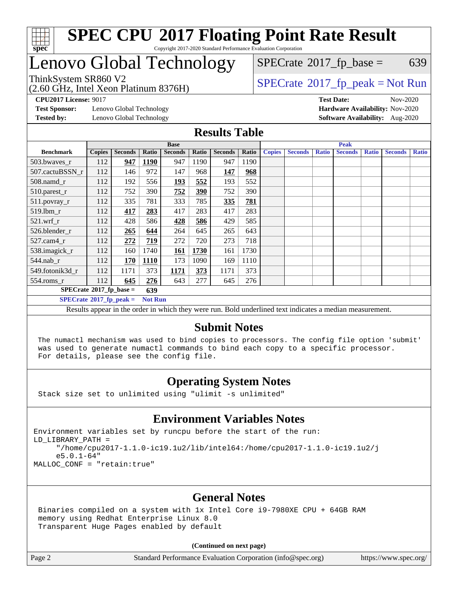

## enovo Global Technology

(2.60 GHz, Intel Xeon Platinum 8376H)

 $SPECTate$ <sup>®</sup>[2017\\_fp\\_base =](http://www.spec.org/auto/cpu2017/Docs/result-fields.html#SPECrate2017fpbase) 639

### ThinkSystem SR860 V2<br>  $\begin{array}{c}\n\text{SPECrate} \textcirc 2017\_fp\_peak = Not Run \\
\text{SPECrate} \textcirc 2017\_fp\_peak = Not Run\n\end{array}$  $\begin{array}{c}\n\text{SPECrate} \textcirc 2017\_fp\_peak = Not Run \\
\text{SPECrate} \textcirc 2017\_fp\_peak = Not Run\n\end{array}$  $\begin{array}{c}\n\text{SPECrate} \textcirc 2017\_fp\_peak = Not Run \\
\text{SPECrate} \textcirc 2017\_fp\_peak = Not Run\n\end{array}$

**[CPU2017 License:](http://www.spec.org/auto/cpu2017/Docs/result-fields.html#CPU2017License)** 9017 **[Test Date:](http://www.spec.org/auto/cpu2017/Docs/result-fields.html#TestDate)** Nov-2020

**[Test Sponsor:](http://www.spec.org/auto/cpu2017/Docs/result-fields.html#TestSponsor)** Lenovo Global Technology **[Hardware Availability:](http://www.spec.org/auto/cpu2017/Docs/result-fields.html#HardwareAvailability)** Nov-2020

**[Tested by:](http://www.spec.org/auto/cpu2017/Docs/result-fields.html#Testedby)** Lenovo Global Technology **[Software Availability:](http://www.spec.org/auto/cpu2017/Docs/result-fields.html#SoftwareAvailability)** Aug-2020

#### **[Results Table](http://www.spec.org/auto/cpu2017/Docs/result-fields.html#ResultsTable)**

|                                                    | <b>Base</b>   |                |       |                |       | <b>Peak</b>    |       |               |                |              |                |              |                |              |
|----------------------------------------------------|---------------|----------------|-------|----------------|-------|----------------|-------|---------------|----------------|--------------|----------------|--------------|----------------|--------------|
| <b>Benchmark</b>                                   | <b>Copies</b> | <b>Seconds</b> | Ratio | <b>Seconds</b> | Ratio | <b>Seconds</b> | Ratio | <b>Copies</b> | <b>Seconds</b> | <b>Ratio</b> | <b>Seconds</b> | <b>Ratio</b> | <b>Seconds</b> | <b>Ratio</b> |
| 503.bwayes_r                                       | 112           | 947            | 1190  | 947            | 1190  | 947            | 1190  |               |                |              |                |              |                |              |
| 507.cactuBSSN r                                    | 112           | 146            | 972   | 147            | 968   | 147            | 968   |               |                |              |                |              |                |              |
| $508$ .namd $r$                                    | 112           | 192            | 556   | 193            | 552   | 193            | 552   |               |                |              |                |              |                |              |
| 510.parest_r                                       | 112           | 752            | 390   | 752            | 390   | 752            | 390   |               |                |              |                |              |                |              |
| 511.povray_r                                       | 112           | 335            | 781   | 333            | 785   | 335            | 781   |               |                |              |                |              |                |              |
| 519.lbm r                                          | 112           | 417            | 283   | 417            | 283   | 417            | 283   |               |                |              |                |              |                |              |
| $521$ .wrf r                                       | 112           | 428            | 586   | 428            | 586   | 429            | 585   |               |                |              |                |              |                |              |
| 526.blender r                                      | 112           | 265            | 644   | 264            | 645   | 265            | 643   |               |                |              |                |              |                |              |
| $527.cam4_r$                                       | 112           | 272            | 719   | 272            | 720   | 273            | 718   |               |                |              |                |              |                |              |
| 538.imagick_r                                      | 112           | 160            | 1740  | <b>161</b>     | 1730  | 161            | 1730  |               |                |              |                |              |                |              |
| $544$ .nab_r                                       | 112           | 170            | 1110  | 173            | 1090  | 169            | 1110  |               |                |              |                |              |                |              |
| 549.fotonik3d r                                    | 112           | 1171           | 373   | 1171           | 373   | 1171           | 373   |               |                |              |                |              |                |              |
| $554$ .roms_r                                      | 112           | 645            | 276   | 643            | 277   | 645            | 276   |               |                |              |                |              |                |              |
| $SPECrate*2017_fp\_base =$<br>639                  |               |                |       |                |       |                |       |               |                |              |                |              |                |              |
| $SPECrate^{\circ}2017$ fp peak =<br><b>Not Run</b> |               |                |       |                |       |                |       |               |                |              |                |              |                |              |

Results appear in the [order in which they were run](http://www.spec.org/auto/cpu2017/Docs/result-fields.html#RunOrder). Bold underlined text [indicates a median measurement.](http://www.spec.org/auto/cpu2017/Docs/result-fields.html#Median)

#### **[Submit Notes](http://www.spec.org/auto/cpu2017/Docs/result-fields.html#SubmitNotes)**

 The numactl mechanism was used to bind copies to processors. The config file option 'submit' was used to generate numactl commands to bind each copy to a specific processor. For details, please see the config file.

### **[Operating System Notes](http://www.spec.org/auto/cpu2017/Docs/result-fields.html#OperatingSystemNotes)**

Stack size set to unlimited using "ulimit -s unlimited"

#### **[Environment Variables Notes](http://www.spec.org/auto/cpu2017/Docs/result-fields.html#EnvironmentVariablesNotes)**

Environment variables set by runcpu before the start of the run: LD\_LIBRARY\_PATH = "/home/cpu2017-1.1.0-ic19.1u2/lib/intel64:/home/cpu2017-1.1.0-ic19.1u2/j e5.0.1-64" MALLOC\_CONF = "retain:true"

#### **[General Notes](http://www.spec.org/auto/cpu2017/Docs/result-fields.html#GeneralNotes)**

 Binaries compiled on a system with 1x Intel Core i9-7980XE CPU + 64GB RAM memory using Redhat Enterprise Linux 8.0 Transparent Huge Pages enabled by default

#### **(Continued on next page)**

Page 2 Standard Performance Evaluation Corporation [\(info@spec.org\)](mailto:info@spec.org) <https://www.spec.org/>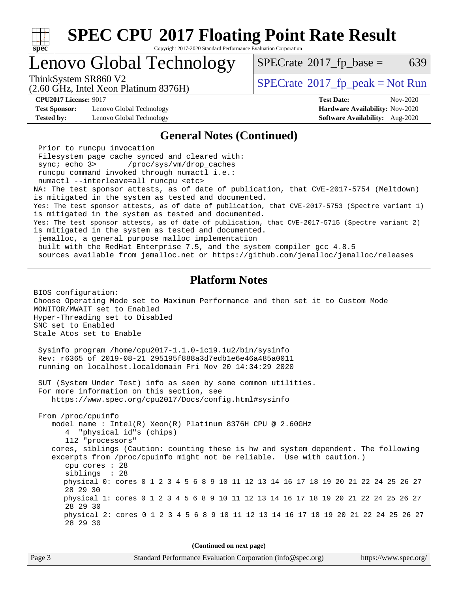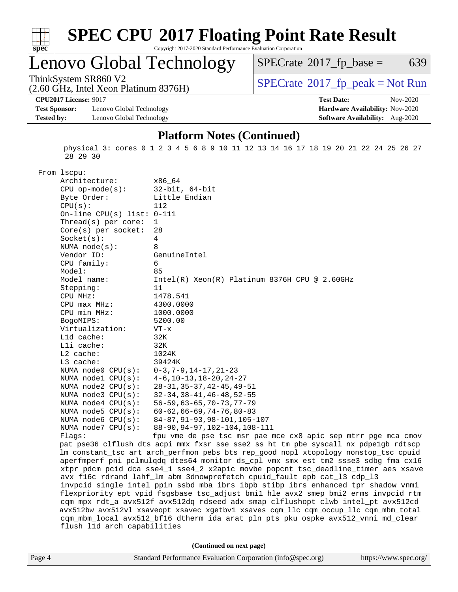

# **[SPEC CPU](http://www.spec.org/auto/cpu2017/Docs/result-fields.html#SPECCPU2017FloatingPointRateResult)[2017 Floating Point Rate Result](http://www.spec.org/auto/cpu2017/Docs/result-fields.html#SPECCPU2017FloatingPointRateResult)**

Copyright 2017-2020 Standard Performance Evaluation Corporation

### Lenovo Global Technology

 $SPECTate@2017_fp\_base = 639$ 

(2.60 GHz, Intel Xeon Platinum 8376H)

ThinkSystem SR860 V2<br>  $(2.60 \text{ GHz, Intel Yoon Plutium } 8376 \text{V})$  [SPECrate](http://www.spec.org/auto/cpu2017/Docs/result-fields.html#SPECrate2017fppeak)®[2017\\_fp\\_peak = N](http://www.spec.org/auto/cpu2017/Docs/result-fields.html#SPECrate2017fppeak)ot Run

**[CPU2017 License:](http://www.spec.org/auto/cpu2017/Docs/result-fields.html#CPU2017License)** 9017 **[Test Date:](http://www.spec.org/auto/cpu2017/Docs/result-fields.html#TestDate)** Nov-2020

**[Test Sponsor:](http://www.spec.org/auto/cpu2017/Docs/result-fields.html#TestSponsor)** Lenovo Global Technology **[Hardware Availability:](http://www.spec.org/auto/cpu2017/Docs/result-fields.html#HardwareAvailability)** Nov-2020 **[Tested by:](http://www.spec.org/auto/cpu2017/Docs/result-fields.html#Testedby)** Lenovo Global Technology **[Software Availability:](http://www.spec.org/auto/cpu2017/Docs/result-fields.html#SoftwareAvailability)** Aug-2020

#### **[Platform Notes \(Continued\)](http://www.spec.org/auto/cpu2017/Docs/result-fields.html#PlatformNotes)**

 physical 3: cores 0 1 2 3 4 5 6 8 9 10 11 12 13 14 16 17 18 19 20 21 22 24 25 26 27 28 29 30

From lscpu:

| Architecture:                | x86 64                                                                               |
|------------------------------|--------------------------------------------------------------------------------------|
| $CPU$ op-mode( $s$ ):        | $32$ -bit, $64$ -bit                                                                 |
| Byte Order:                  | Little Endian                                                                        |
| CPU(s):                      | 112                                                                                  |
| On-line CPU(s) list: $0-111$ |                                                                                      |
| Thread(s) per core:          | $\mathbf{1}$                                                                         |
| $Core(s)$ per socket:        | 28                                                                                   |
| Socket(s):                   | 4                                                                                    |
| NUMA $node(s):$              | 8                                                                                    |
| Vendor ID:                   | GenuineIntel                                                                         |
| CPU family:                  | 6                                                                                    |
| Model:                       | 85                                                                                   |
| Model name:                  | Intel(R) Xeon(R) Platinum 8376H CPU @ 2.60GHz                                        |
| Stepping:                    | 11                                                                                   |
| CPU MHz:                     | 1478.541                                                                             |
| CPU max MHz:                 | 4300.0000                                                                            |
| CPU min MHz:                 | 1000.0000                                                                            |
| BogoMIPS:                    | 5200.00                                                                              |
| Virtualization:              | $VT - x$                                                                             |
| L1d cache:                   | 32K                                                                                  |
| Lli cache:                   | 32K                                                                                  |
| $L2$ cache:                  | 1024K                                                                                |
| L3 cache:                    | 39424K                                                                               |
| NUMA node0 CPU(s):           | $0-3, 7-9, 14-17, 21-23$                                                             |
| NUMA $node1$ $CPU(s)$ :      | $4-6$ , $10-13$ , $18-20$ , $24-27$                                                  |
| NUMA node2 CPU(s):           | $28 - 31, 35 - 37, 42 - 45, 49 - 51$                                                 |
| NUMA $node3$ CPU $(s)$ :     | $32 - 34, 38 - 41, 46 - 48, 52 - 55$                                                 |
| NUMA node4 CPU(s):           | $56 - 59, 63 - 65, 70 - 73, 77 - 79$                                                 |
| NUMA node5 CPU(s):           | $60 - 62, 66 - 69, 74 - 76, 80 - 83$                                                 |
| NUMA $node6$ CPU $(s)$ :     | 84-87, 91-93, 98-101, 105-107                                                        |
| NUMA $node7$ CPU $(s)$ :     | 88-90, 94-97, 102-104, 108-111                                                       |
| Flaqs:                       | fpu vme de pse tsc msr pae mce cx8 apic sep mtrr pge mca cmov                        |
|                              | pat pse36 clflush dts acpi mmx fxsr sse sse2 ss ht tm pbe syscall nx pdpelgb rdtscp  |
|                              | lm constant_tsc art arch_perfmon pebs bts rep_good nopl xtopology nonstop_tsc cpuid  |
|                              | aperfmperf pni pclmulqdq dtes64 monitor ds_cpl vmx smx est tm2 ssse3 sdbg fma cx16   |
|                              | xtpr pdcm pcid dca sse4_1 sse4_2 x2apic movbe popcnt tsc_deadline_timer aes xsave    |
|                              | avx f16c rdrand lahf_lm abm 3dnowprefetch cpuid_fault epb cat_13 cdp_13              |
|                              | invpcid_single intel_ppin ssbd mba ibrs ibpb stibp ibrs_enhanced tpr_shadow vnmi     |
|                              | flexpriority ept vpid fsgsbase tsc_adjust bmil hle avx2 smep bmi2 erms invpcid rtm   |
|                              | cqm mpx rdt_a avx512f avx512dq rdseed adx smap clflushopt clwb intel_pt avx512cd     |
|                              | avx512bw avx512vl xsaveopt xsavec xgetbvl xsaves cqm_llc cqm_occup_llc cqm_mbm_total |
|                              | cqm_mbm_local avx512_bf16 dtherm ida arat pln pts pku ospke avx512_vnni md_clear     |
| flush_l1d arch_capabilities  |                                                                                      |
|                              |                                                                                      |
|                              | (Continued on next page)                                                             |
|                              |                                                                                      |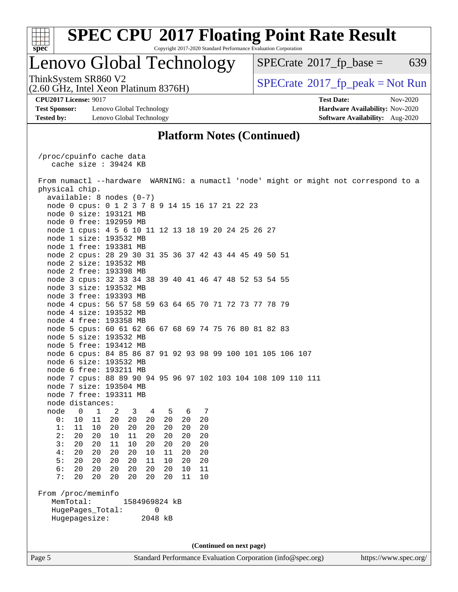

### Lenovo Global Technology

 $SPECTate$ <sup>®</sup>[2017\\_fp\\_base =](http://www.spec.org/auto/cpu2017/Docs/result-fields.html#SPECrate2017fpbase) 639

(2.60 GHz, Intel Xeon Platinum 8376H)

ThinkSystem SR860 V2<br>(2.60 GHz, Intel Xeon Platinum 8376H)  $\vert$  [SPECrate](http://www.spec.org/auto/cpu2017/Docs/result-fields.html#SPECrate2017fppeak)®[2017\\_fp\\_peak = N](http://www.spec.org/auto/cpu2017/Docs/result-fields.html#SPECrate2017fppeak)ot Run

**[Test Sponsor:](http://www.spec.org/auto/cpu2017/Docs/result-fields.html#TestSponsor)** Lenovo Global Technology **[Hardware Availability:](http://www.spec.org/auto/cpu2017/Docs/result-fields.html#HardwareAvailability)** Nov-2020 **[Tested by:](http://www.spec.org/auto/cpu2017/Docs/result-fields.html#Testedby)** Lenovo Global Technology **[Software Availability:](http://www.spec.org/auto/cpu2017/Docs/result-fields.html#SoftwareAvailability)** Aug-2020

**[CPU2017 License:](http://www.spec.org/auto/cpu2017/Docs/result-fields.html#CPU2017License)** 9017 **[Test Date:](http://www.spec.org/auto/cpu2017/Docs/result-fields.html#TestDate)** Nov-2020

#### **[Platform Notes \(Continued\)](http://www.spec.org/auto/cpu2017/Docs/result-fields.html#PlatformNotes)**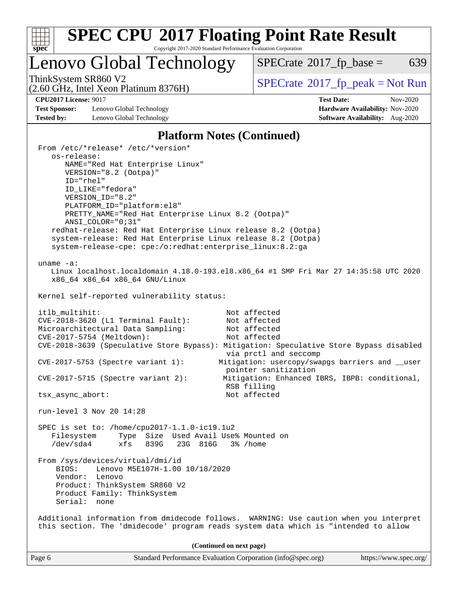

## **[SPEC CPU](http://www.spec.org/auto/cpu2017/Docs/result-fields.html#SPECCPU2017FloatingPointRateResult)[2017 Floating Point Rate Result](http://www.spec.org/auto/cpu2017/Docs/result-fields.html#SPECCPU2017FloatingPointRateResult)**

Copyright 2017-2020 Standard Performance Evaluation Corporation

Lenovo Global Technology

 $SPECTate@2017_fp\_base = 639$ 

(2.60 GHz, Intel Xeon Platinum 8376H)

ThinkSystem SR860 V2<br>(2.60 GHz, Intel Xeon Platinum 8376H) [SPECrate](http://www.spec.org/auto/cpu2017/Docs/result-fields.html#SPECrate2017fppeak)®[2017\\_fp\\_peak = N](http://www.spec.org/auto/cpu2017/Docs/result-fields.html#SPECrate2017fppeak)ot Run

**[Test Sponsor:](http://www.spec.org/auto/cpu2017/Docs/result-fields.html#TestSponsor)** Lenovo Global Technology **[Hardware Availability:](http://www.spec.org/auto/cpu2017/Docs/result-fields.html#HardwareAvailability)** Nov-2020 **[Tested by:](http://www.spec.org/auto/cpu2017/Docs/result-fields.html#Testedby)** Lenovo Global Technology **[Software Availability:](http://www.spec.org/auto/cpu2017/Docs/result-fields.html#SoftwareAvailability)** Aug-2020

**[CPU2017 License:](http://www.spec.org/auto/cpu2017/Docs/result-fields.html#CPU2017License)** 9017 **[Test Date:](http://www.spec.org/auto/cpu2017/Docs/result-fields.html#TestDate)** Nov-2020

#### **[Platform Notes \(Continued\)](http://www.spec.org/auto/cpu2017/Docs/result-fields.html#PlatformNotes)**

| From /etc/*release* /etc/*version*<br>os-release:            |                                                                                         |
|--------------------------------------------------------------|-----------------------------------------------------------------------------------------|
| NAME="Red Hat Enterprise Linux"                              |                                                                                         |
| VERSION="8.2 (Ootpa)"                                        |                                                                                         |
| $ID="rhe1"$                                                  |                                                                                         |
| ID_LIKE="fedora"                                             |                                                                                         |
| VERSION_ID="8.2"<br>PLATFORM_ID="platform:el8"               |                                                                                         |
| PRETTY_NAME="Red Hat Enterprise Linux 8.2 (Ootpa)"           |                                                                                         |
| $ANSI$ _COLOR=" $0:31$ "                                     |                                                                                         |
| redhat-release: Red Hat Enterprise Linux release 8.2 (Ootpa) |                                                                                         |
| system-release: Red Hat Enterprise Linux release 8.2 (Ootpa) |                                                                                         |
| system-release-cpe: cpe:/o:redhat:enterprise_linux:8.2:ga    |                                                                                         |
| uname $-a$ :                                                 |                                                                                         |
|                                                              | Linux localhost.localdomain 4.18.0-193.el8.x86_64 #1 SMP Fri Mar 27 14:35:58 UTC 2020   |
| x86_64 x86_64 x86_64 GNU/Linux                               |                                                                                         |
| Kernel self-reported vulnerability status:                   |                                                                                         |
| itlb_multihit:                                               | Not affected                                                                            |
| CVE-2018-3620 (L1 Terminal Fault):                           | Not affected                                                                            |
| Microarchitectural Data Sampling:                            | Not affected                                                                            |
| CVE-2017-5754 (Meltdown):                                    | Not affected                                                                            |
|                                                              | CVE-2018-3639 (Speculative Store Bypass): Mitigation: Speculative Store Bypass disabled |
|                                                              | via prctl and seccomp                                                                   |
| $CVE-2017-5753$ (Spectre variant 1):                         | Mitigation: usercopy/swapgs barriers and __user                                         |
| $CVE-2017-5715$ (Spectre variant 2):                         | pointer sanitization<br>Mitigation: Enhanced IBRS, IBPB: conditional,                   |
|                                                              | RSB filling                                                                             |
| tsx_async_abort:                                             | Not affected                                                                            |
|                                                              |                                                                                         |
| run-level 3 Nov 20 14:28                                     |                                                                                         |
| SPEC is set to: /home/cpu2017-1.1.0-ic19.1u2                 |                                                                                         |
| Filesystem Type Size Used Avail Use% Mounted on              |                                                                                         |
| $/\text{dev/sda4}$<br>xfs 839G 23G 816G 3% / home            |                                                                                         |
| From /sys/devices/virtual/dmi/id                             |                                                                                         |
| Lenovo M5E107H-1.00 10/18/2020<br>BIOS:                      |                                                                                         |
| Vendor: Lenovo                                               |                                                                                         |
| Product: ThinkSystem SR860 V2                                |                                                                                         |
| Product Family: ThinkSystem<br>Serial: none                  |                                                                                         |
|                                                              |                                                                                         |
|                                                              | Additional information from dmidecode follows. WARNING: Use caution when you interpret  |
|                                                              | this section. The 'dmidecode' program reads system data which is "intended to allow     |
|                                                              | (Continued on next page)                                                                |
| Page 6                                                       | Standard Performance Evaluation Corporation (info@spec.org)<br>https://www.spec.org/    |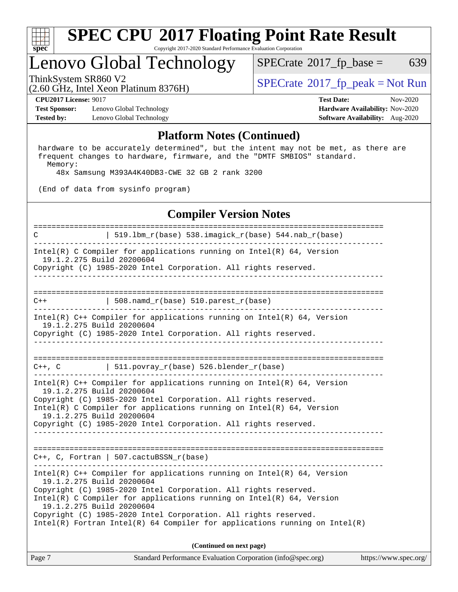

## Lenovo Global Technology

 $SPECTate$ <sup>®</sup>[2017\\_fp\\_base =](http://www.spec.org/auto/cpu2017/Docs/result-fields.html#SPECrate2017fpbase) 639

(2.60 GHz, Intel Xeon Platinum 8376H)

ThinkSystem SR860 V2<br>  $\begin{array}{c} \text{SPECTI}_{\text{S}} \text{PEC rate} \text{M} \geq 2017 \text{ Jp}\text{ peak} = \text{Not Run} \end{array}$ 

**[CPU2017 License:](http://www.spec.org/auto/cpu2017/Docs/result-fields.html#CPU2017License)** 9017 **[Test Date:](http://www.spec.org/auto/cpu2017/Docs/result-fields.html#TestDate)** Nov-2020

**[Test Sponsor:](http://www.spec.org/auto/cpu2017/Docs/result-fields.html#TestSponsor)** Lenovo Global Technology **[Hardware Availability:](http://www.spec.org/auto/cpu2017/Docs/result-fields.html#HardwareAvailability)** Nov-2020 **[Tested by:](http://www.spec.org/auto/cpu2017/Docs/result-fields.html#Testedby)** Lenovo Global Technology **[Software Availability:](http://www.spec.org/auto/cpu2017/Docs/result-fields.html#SoftwareAvailability)** Aug-2020

### **[Platform Notes \(Continued\)](http://www.spec.org/auto/cpu2017/Docs/result-fields.html#PlatformNotes)**

 hardware to be accurately determined", but the intent may not be met, as there are frequent changes to hardware, firmware, and the "DMTF SMBIOS" standard. Memory:

48x Samsung M393A4K40DB3-CWE 32 GB 2 rank 3200

(End of data from sysinfo program)

#### **[Compiler Version Notes](http://www.spec.org/auto/cpu2017/Docs/result-fields.html#CompilerVersionNotes)**

============================================================================== C  $| 519.1bm_r(base) 538.imagick_r(base) 544.nab_r(base)$ ------------------------------------------------------------------------------ Intel(R) C Compiler for applications running on  $Intel(R) 64$ , Version 19.1.2.275 Build 20200604 Copyright (C) 1985-2020 Intel Corporation. All rights reserved. ------------------------------------------------------------------------------ ==============================================================================  $C++$  | 508.namd\_r(base) 510.parest\_r(base) ------------------------------------------------------------------------------ Intel(R) C++ Compiler for applications running on Intel(R) 64, Version 19.1.2.275 Build 20200604 Copyright (C) 1985-2020 Intel Corporation. All rights reserved. ------------------------------------------------------------------------------ ==============================================================================  $C++$ ,  $C$  | 511.povray\_r(base) 526.blender\_r(base) ------------------------------------------------------------------------------ Intel(R) C++ Compiler for applications running on Intel(R) 64, Version 19.1.2.275 Build 20200604 Copyright (C) 1985-2020 Intel Corporation. All rights reserved. Intel(R) C Compiler for applications running on Intel(R) 64, Version 19.1.2.275 Build 20200604 Copyright (C) 1985-2020 Intel Corporation. All rights reserved. ------------------------------------------------------------------------------ ============================================================================== C++, C, Fortran | 507.cactuBSSN\_r(base) ------------------------------------------------------------------------------ Intel(R) C++ Compiler for applications running on Intel(R) 64, Version 19.1.2.275 Build 20200604 Copyright (C) 1985-2020 Intel Corporation. All rights reserved. Intel(R) C Compiler for applications running on Intel(R) 64, Version 19.1.2.275 Build 20200604 Copyright (C) 1985-2020 Intel Corporation. All rights reserved. Intel(R) Fortran Intel(R) 64 Compiler for applications running on Intel(R)

**(Continued on next page)**

| Page 7 | Standard Performance Evaluation Corporation (info@spec.org) | https://www.spec.org/ |
|--------|-------------------------------------------------------------|-----------------------|
|--------|-------------------------------------------------------------|-----------------------|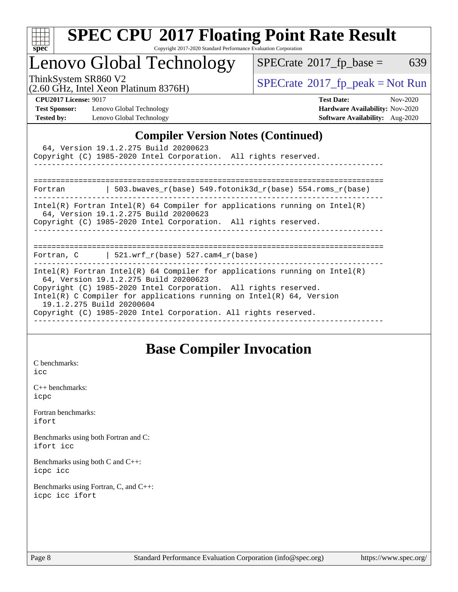

# **[SPEC CPU](http://www.spec.org/auto/cpu2017/Docs/result-fields.html#SPECCPU2017FloatingPointRateResult)[2017 Floating Point Rate Result](http://www.spec.org/auto/cpu2017/Docs/result-fields.html#SPECCPU2017FloatingPointRateResult)**

Copyright 2017-2020 Standard Performance Evaluation Corporation

## Lenovo Global Technology

 $SPECTate@2017_fp\_base = 639$ 

(2.60 GHz, Intel Xeon Platinum 8376H)

ThinkSystem SR860 V2<br>  $\begin{array}{c}\n\text{SPECrate} \textcirc 2017\_fp\_peak = Not Run \\
\text{SPECrate} \textcirc 2017\_fp\_peak = Not Run\n\end{array}$  $\begin{array}{c}\n\text{SPECrate} \textcirc 2017\_fp\_peak = Not Run \\
\text{SPECrate} \textcirc 2017\_fp\_peak = Not Run\n\end{array}$  $\begin{array}{c}\n\text{SPECrate} \textcirc 2017\_fp\_peak = Not Run \\
\text{SPECrate} \textcirc 2017\_fp\_peak = Not Run\n\end{array}$ 

**[Test Sponsor:](http://www.spec.org/auto/cpu2017/Docs/result-fields.html#TestSponsor)** Lenovo Global Technology **[Hardware Availability:](http://www.spec.org/auto/cpu2017/Docs/result-fields.html#HardwareAvailability)** Nov-2020 **[Tested by:](http://www.spec.org/auto/cpu2017/Docs/result-fields.html#Testedby)** Lenovo Global Technology **[Software Availability:](http://www.spec.org/auto/cpu2017/Docs/result-fields.html#SoftwareAvailability)** Aug-2020

**[CPU2017 License:](http://www.spec.org/auto/cpu2017/Docs/result-fields.html#CPU2017License)** 9017 **[Test Date:](http://www.spec.org/auto/cpu2017/Docs/result-fields.html#TestDate)** Nov-2020

### **[Compiler Version Notes \(Continued\)](http://www.spec.org/auto/cpu2017/Docs/result-fields.html#CompilerVersionNotes)**

|                                                                                                                                                                                                                                                                                                                                                                   | 64, Version 19.1.2.275 Build 20200623<br>Copyright (C) 1985-2020 Intel Corporation. All rights reserved.                                                                               |  |  |  |  |
|-------------------------------------------------------------------------------------------------------------------------------------------------------------------------------------------------------------------------------------------------------------------------------------------------------------------------------------------------------------------|----------------------------------------------------------------------------------------------------------------------------------------------------------------------------------------|--|--|--|--|
|                                                                                                                                                                                                                                                                                                                                                                   | Fortran $\vert$ 503.bwaves r(base) 549.fotonik3d r(base) 554.roms r(base)                                                                                                              |  |  |  |  |
|                                                                                                                                                                                                                                                                                                                                                                   | Intel(R) Fortran Intel(R) 64 Compiler for applications running on Intel(R)<br>64, Version 19.1.2.275 Build 20200623<br>Copyright (C) 1985-2020 Intel Corporation. All rights reserved. |  |  |  |  |
|                                                                                                                                                                                                                                                                                                                                                                   | Fortran, C $\vert$ 521.wrf r(base) 527.cam4 r(base)                                                                                                                                    |  |  |  |  |
| Intel(R) Fortran Intel(R) 64 Compiler for applications running on Intel(R)<br>64, Version 19.1.2.275 Build 20200623<br>Copyright (C) 1985-2020 Intel Corporation. All rights reserved.<br>Intel(R) C Compiler for applications running on Intel(R) $64$ , Version<br>19.1.2.275 Build 20200604<br>Copyright (C) 1985-2020 Intel Corporation. All rights reserved. |                                                                                                                                                                                        |  |  |  |  |

### **[Base Compiler Invocation](http://www.spec.org/auto/cpu2017/Docs/result-fields.html#BaseCompilerInvocation)**

[C benchmarks](http://www.spec.org/auto/cpu2017/Docs/result-fields.html#Cbenchmarks): [icc](http://www.spec.org/cpu2017/results/res2020q4/cpu2017-20201123-24475.flags.html#user_CCbase_intel_icc_66fc1ee009f7361af1fbd72ca7dcefbb700085f36577c54f309893dd4ec40d12360134090235512931783d35fd58c0460139e722d5067c5574d8eaf2b3e37e92)

[C++ benchmarks:](http://www.spec.org/auto/cpu2017/Docs/result-fields.html#CXXbenchmarks) [icpc](http://www.spec.org/cpu2017/results/res2020q4/cpu2017-20201123-24475.flags.html#user_CXXbase_intel_icpc_c510b6838c7f56d33e37e94d029a35b4a7bccf4766a728ee175e80a419847e808290a9b78be685c44ab727ea267ec2f070ec5dc83b407c0218cded6866a35d07)

[Fortran benchmarks](http://www.spec.org/auto/cpu2017/Docs/result-fields.html#Fortranbenchmarks): [ifort](http://www.spec.org/cpu2017/results/res2020q4/cpu2017-20201123-24475.flags.html#user_FCbase_intel_ifort_8111460550e3ca792625aed983ce982f94888b8b503583aa7ba2b8303487b4d8a21a13e7191a45c5fd58ff318f48f9492884d4413fa793fd88dd292cad7027ca)

[Benchmarks using both Fortran and C](http://www.spec.org/auto/cpu2017/Docs/result-fields.html#BenchmarksusingbothFortranandC): [ifort](http://www.spec.org/cpu2017/results/res2020q4/cpu2017-20201123-24475.flags.html#user_CC_FCbase_intel_ifort_8111460550e3ca792625aed983ce982f94888b8b503583aa7ba2b8303487b4d8a21a13e7191a45c5fd58ff318f48f9492884d4413fa793fd88dd292cad7027ca) [icc](http://www.spec.org/cpu2017/results/res2020q4/cpu2017-20201123-24475.flags.html#user_CC_FCbase_intel_icc_66fc1ee009f7361af1fbd72ca7dcefbb700085f36577c54f309893dd4ec40d12360134090235512931783d35fd58c0460139e722d5067c5574d8eaf2b3e37e92)

[Benchmarks using both C and C++](http://www.spec.org/auto/cpu2017/Docs/result-fields.html#BenchmarksusingbothCandCXX): [icpc](http://www.spec.org/cpu2017/results/res2020q4/cpu2017-20201123-24475.flags.html#user_CC_CXXbase_intel_icpc_c510b6838c7f56d33e37e94d029a35b4a7bccf4766a728ee175e80a419847e808290a9b78be685c44ab727ea267ec2f070ec5dc83b407c0218cded6866a35d07) [icc](http://www.spec.org/cpu2017/results/res2020q4/cpu2017-20201123-24475.flags.html#user_CC_CXXbase_intel_icc_66fc1ee009f7361af1fbd72ca7dcefbb700085f36577c54f309893dd4ec40d12360134090235512931783d35fd58c0460139e722d5067c5574d8eaf2b3e37e92)

[Benchmarks using Fortran, C, and C++:](http://www.spec.org/auto/cpu2017/Docs/result-fields.html#BenchmarksusingFortranCandCXX) [icpc](http://www.spec.org/cpu2017/results/res2020q4/cpu2017-20201123-24475.flags.html#user_CC_CXX_FCbase_intel_icpc_c510b6838c7f56d33e37e94d029a35b4a7bccf4766a728ee175e80a419847e808290a9b78be685c44ab727ea267ec2f070ec5dc83b407c0218cded6866a35d07) [icc](http://www.spec.org/cpu2017/results/res2020q4/cpu2017-20201123-24475.flags.html#user_CC_CXX_FCbase_intel_icc_66fc1ee009f7361af1fbd72ca7dcefbb700085f36577c54f309893dd4ec40d12360134090235512931783d35fd58c0460139e722d5067c5574d8eaf2b3e37e92) [ifort](http://www.spec.org/cpu2017/results/res2020q4/cpu2017-20201123-24475.flags.html#user_CC_CXX_FCbase_intel_ifort_8111460550e3ca792625aed983ce982f94888b8b503583aa7ba2b8303487b4d8a21a13e7191a45c5fd58ff318f48f9492884d4413fa793fd88dd292cad7027ca)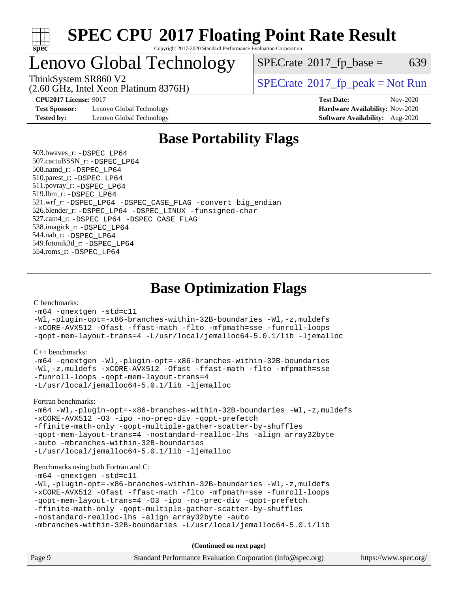

## Lenovo Global Technology

 $SPECTate$ <sup>®</sup>[2017\\_fp\\_base =](http://www.spec.org/auto/cpu2017/Docs/result-fields.html#SPECrate2017fpbase) 639

(2.60 GHz, Intel Xeon Platinum 8376H)

ThinkSystem SR860 V2<br>  $\begin{array}{c} \text{SPECrate} \textcirc 2017 \text{ fp\_peak} = \text{Not Run} \end{array}$  $\begin{array}{c} \text{SPECrate} \textcirc 2017 \text{ fp\_peak} = \text{Not Run} \end{array}$  $\begin{array}{c} \text{SPECrate} \textcirc 2017 \text{ fp\_peak} = \text{Not Run} \end{array}$ 

**[Test Sponsor:](http://www.spec.org/auto/cpu2017/Docs/result-fields.html#TestSponsor)** Lenovo Global Technology **[Hardware Availability:](http://www.spec.org/auto/cpu2017/Docs/result-fields.html#HardwareAvailability)** Nov-2020 **[Tested by:](http://www.spec.org/auto/cpu2017/Docs/result-fields.html#Testedby)** Lenovo Global Technology **[Software Availability:](http://www.spec.org/auto/cpu2017/Docs/result-fields.html#SoftwareAvailability)** Aug-2020

**[CPU2017 License:](http://www.spec.org/auto/cpu2017/Docs/result-fields.html#CPU2017License)** 9017 **[Test Date:](http://www.spec.org/auto/cpu2017/Docs/result-fields.html#TestDate)** Nov-2020

### **[Base Portability Flags](http://www.spec.org/auto/cpu2017/Docs/result-fields.html#BasePortabilityFlags)**

 503.bwaves\_r: [-DSPEC\\_LP64](http://www.spec.org/cpu2017/results/res2020q4/cpu2017-20201123-24475.flags.html#suite_basePORTABILITY503_bwaves_r_DSPEC_LP64) 507.cactuBSSN\_r: [-DSPEC\\_LP64](http://www.spec.org/cpu2017/results/res2020q4/cpu2017-20201123-24475.flags.html#suite_basePORTABILITY507_cactuBSSN_r_DSPEC_LP64) 508.namd\_r: [-DSPEC\\_LP64](http://www.spec.org/cpu2017/results/res2020q4/cpu2017-20201123-24475.flags.html#suite_basePORTABILITY508_namd_r_DSPEC_LP64) 510.parest\_r: [-DSPEC\\_LP64](http://www.spec.org/cpu2017/results/res2020q4/cpu2017-20201123-24475.flags.html#suite_basePORTABILITY510_parest_r_DSPEC_LP64) 511.povray\_r: [-DSPEC\\_LP64](http://www.spec.org/cpu2017/results/res2020q4/cpu2017-20201123-24475.flags.html#suite_basePORTABILITY511_povray_r_DSPEC_LP64) 519.lbm\_r: [-DSPEC\\_LP64](http://www.spec.org/cpu2017/results/res2020q4/cpu2017-20201123-24475.flags.html#suite_basePORTABILITY519_lbm_r_DSPEC_LP64) 521.wrf\_r: [-DSPEC\\_LP64](http://www.spec.org/cpu2017/results/res2020q4/cpu2017-20201123-24475.flags.html#suite_basePORTABILITY521_wrf_r_DSPEC_LP64) [-DSPEC\\_CASE\\_FLAG](http://www.spec.org/cpu2017/results/res2020q4/cpu2017-20201123-24475.flags.html#b521.wrf_r_baseCPORTABILITY_DSPEC_CASE_FLAG) [-convert big\\_endian](http://www.spec.org/cpu2017/results/res2020q4/cpu2017-20201123-24475.flags.html#user_baseFPORTABILITY521_wrf_r_convert_big_endian_c3194028bc08c63ac5d04de18c48ce6d347e4e562e8892b8bdbdc0214820426deb8554edfa529a3fb25a586e65a3d812c835984020483e7e73212c4d31a38223) 526.blender\_r: [-DSPEC\\_LP64](http://www.spec.org/cpu2017/results/res2020q4/cpu2017-20201123-24475.flags.html#suite_basePORTABILITY526_blender_r_DSPEC_LP64) [-DSPEC\\_LINUX](http://www.spec.org/cpu2017/results/res2020q4/cpu2017-20201123-24475.flags.html#b526.blender_r_baseCPORTABILITY_DSPEC_LINUX) [-funsigned-char](http://www.spec.org/cpu2017/results/res2020q4/cpu2017-20201123-24475.flags.html#user_baseCPORTABILITY526_blender_r_force_uchar_40c60f00ab013830e2dd6774aeded3ff59883ba5a1fc5fc14077f794d777847726e2a5858cbc7672e36e1b067e7e5c1d9a74f7176df07886a243d7cc18edfe67) 527.cam4\_r: [-DSPEC\\_LP64](http://www.spec.org/cpu2017/results/res2020q4/cpu2017-20201123-24475.flags.html#suite_basePORTABILITY527_cam4_r_DSPEC_LP64) [-DSPEC\\_CASE\\_FLAG](http://www.spec.org/cpu2017/results/res2020q4/cpu2017-20201123-24475.flags.html#b527.cam4_r_baseCPORTABILITY_DSPEC_CASE_FLAG) 538.imagick\_r: [-DSPEC\\_LP64](http://www.spec.org/cpu2017/results/res2020q4/cpu2017-20201123-24475.flags.html#suite_basePORTABILITY538_imagick_r_DSPEC_LP64) 544.nab\_r: [-DSPEC\\_LP64](http://www.spec.org/cpu2017/results/res2020q4/cpu2017-20201123-24475.flags.html#suite_basePORTABILITY544_nab_r_DSPEC_LP64) 549.fotonik3d\_r: [-DSPEC\\_LP64](http://www.spec.org/cpu2017/results/res2020q4/cpu2017-20201123-24475.flags.html#suite_basePORTABILITY549_fotonik3d_r_DSPEC_LP64) 554.roms\_r: [-DSPEC\\_LP64](http://www.spec.org/cpu2017/results/res2020q4/cpu2017-20201123-24475.flags.html#suite_basePORTABILITY554_roms_r_DSPEC_LP64)

**[Base Optimization Flags](http://www.spec.org/auto/cpu2017/Docs/result-fields.html#BaseOptimizationFlags)**

[C benchmarks](http://www.spec.org/auto/cpu2017/Docs/result-fields.html#Cbenchmarks):

[-m64](http://www.spec.org/cpu2017/results/res2020q4/cpu2017-20201123-24475.flags.html#user_CCbase_m64-icc) [-qnextgen](http://www.spec.org/cpu2017/results/res2020q4/cpu2017-20201123-24475.flags.html#user_CCbase_f-qnextgen) [-std=c11](http://www.spec.org/cpu2017/results/res2020q4/cpu2017-20201123-24475.flags.html#user_CCbase_std-icc-std_0e1c27790398a4642dfca32ffe6c27b5796f9c2d2676156f2e42c9c44eaad0c049b1cdb667a270c34d979996257aeb8fc440bfb01818dbc9357bd9d174cb8524) [-Wl,-plugin-opt=-x86-branches-within-32B-boundaries](http://www.spec.org/cpu2017/results/res2020q4/cpu2017-20201123-24475.flags.html#user_CCbase_f-x86-branches-within-32B-boundaries_0098b4e4317ae60947b7b728078a624952a08ac37a3c797dfb4ffeb399e0c61a9dd0f2f44ce917e9361fb9076ccb15e7824594512dd315205382d84209e912f3) [-Wl,-z,muldefs](http://www.spec.org/cpu2017/results/res2020q4/cpu2017-20201123-24475.flags.html#user_CCbase_link_force_multiple1_b4cbdb97b34bdee9ceefcfe54f4c8ea74255f0b02a4b23e853cdb0e18eb4525ac79b5a88067c842dd0ee6996c24547a27a4b99331201badda8798ef8a743f577) [-xCORE-AVX512](http://www.spec.org/cpu2017/results/res2020q4/cpu2017-20201123-24475.flags.html#user_CCbase_f-xCORE-AVX512) [-Ofast](http://www.spec.org/cpu2017/results/res2020q4/cpu2017-20201123-24475.flags.html#user_CCbase_f-Ofast) [-ffast-math](http://www.spec.org/cpu2017/results/res2020q4/cpu2017-20201123-24475.flags.html#user_CCbase_f-ffast-math) [-flto](http://www.spec.org/cpu2017/results/res2020q4/cpu2017-20201123-24475.flags.html#user_CCbase_f-flto) [-mfpmath=sse](http://www.spec.org/cpu2017/results/res2020q4/cpu2017-20201123-24475.flags.html#user_CCbase_f-mfpmath_70eb8fac26bde974f8ab713bc9086c5621c0b8d2f6c86f38af0bd7062540daf19db5f3a066d8c6684be05d84c9b6322eb3b5be6619d967835195b93d6c02afa1) [-funroll-loops](http://www.spec.org/cpu2017/results/res2020q4/cpu2017-20201123-24475.flags.html#user_CCbase_f-funroll-loops) [-qopt-mem-layout-trans=4](http://www.spec.org/cpu2017/results/res2020q4/cpu2017-20201123-24475.flags.html#user_CCbase_f-qopt-mem-layout-trans_fa39e755916c150a61361b7846f310bcdf6f04e385ef281cadf3647acec3f0ae266d1a1d22d972a7087a248fd4e6ca390a3634700869573d231a252c784941a8) [-L/usr/local/jemalloc64-5.0.1/lib](http://www.spec.org/cpu2017/results/res2020q4/cpu2017-20201123-24475.flags.html#user_CCbase_jemalloc_link_path64_1_cc289568b1a6c0fd3b62c91b824c27fcb5af5e8098e6ad028160d21144ef1b8aef3170d2acf0bee98a8da324cfe4f67d0a3d0c4cc4673d993d694dc2a0df248b) [-ljemalloc](http://www.spec.org/cpu2017/results/res2020q4/cpu2017-20201123-24475.flags.html#user_CCbase_jemalloc_link_lib_d1249b907c500fa1c0672f44f562e3d0f79738ae9e3c4a9c376d49f265a04b9c99b167ecedbf6711b3085be911c67ff61f150a17b3472be731631ba4d0471706)

[C++ benchmarks:](http://www.spec.org/auto/cpu2017/Docs/result-fields.html#CXXbenchmarks)

```
-m64 -qnextgen -Wl,-plugin-opt=-x86-branches-within-32B-boundaries
-Wl,-z,muldefs -xCORE-AVX512 -Ofast -ffast-math -flto -mfpmath=sse
-funroll-loops -qopt-mem-layout-trans=4
-L/usr/local/jemalloc64-5.0.1/lib -ljemalloc
```
[Fortran benchmarks](http://www.spec.org/auto/cpu2017/Docs/result-fields.html#Fortranbenchmarks):

[-m64](http://www.spec.org/cpu2017/results/res2020q4/cpu2017-20201123-24475.flags.html#user_FCbase_m64-icc) [-Wl,-plugin-opt=-x86-branches-within-32B-boundaries](http://www.spec.org/cpu2017/results/res2020q4/cpu2017-20201123-24475.flags.html#user_FCbase_f-x86-branches-within-32B-boundaries_0098b4e4317ae60947b7b728078a624952a08ac37a3c797dfb4ffeb399e0c61a9dd0f2f44ce917e9361fb9076ccb15e7824594512dd315205382d84209e912f3) [-Wl,-z,muldefs](http://www.spec.org/cpu2017/results/res2020q4/cpu2017-20201123-24475.flags.html#user_FCbase_link_force_multiple1_b4cbdb97b34bdee9ceefcfe54f4c8ea74255f0b02a4b23e853cdb0e18eb4525ac79b5a88067c842dd0ee6996c24547a27a4b99331201badda8798ef8a743f577) [-xCORE-AVX512](http://www.spec.org/cpu2017/results/res2020q4/cpu2017-20201123-24475.flags.html#user_FCbase_f-xCORE-AVX512) [-O3](http://www.spec.org/cpu2017/results/res2020q4/cpu2017-20201123-24475.flags.html#user_FCbase_f-O3) [-ipo](http://www.spec.org/cpu2017/results/res2020q4/cpu2017-20201123-24475.flags.html#user_FCbase_f-ipo) [-no-prec-div](http://www.spec.org/cpu2017/results/res2020q4/cpu2017-20201123-24475.flags.html#user_FCbase_f-no-prec-div) [-qopt-prefetch](http://www.spec.org/cpu2017/results/res2020q4/cpu2017-20201123-24475.flags.html#user_FCbase_f-qopt-prefetch) [-ffinite-math-only](http://www.spec.org/cpu2017/results/res2020q4/cpu2017-20201123-24475.flags.html#user_FCbase_f_finite_math_only_cb91587bd2077682c4b38af759c288ed7c732db004271a9512da14a4f8007909a5f1427ecbf1a0fb78ff2a814402c6114ac565ca162485bbcae155b5e4258871) [-qopt-multiple-gather-scatter-by-shuffles](http://www.spec.org/cpu2017/results/res2020q4/cpu2017-20201123-24475.flags.html#user_FCbase_f-qopt-multiple-gather-scatter-by-shuffles) [-qopt-mem-layout-trans=4](http://www.spec.org/cpu2017/results/res2020q4/cpu2017-20201123-24475.flags.html#user_FCbase_f-qopt-mem-layout-trans_fa39e755916c150a61361b7846f310bcdf6f04e385ef281cadf3647acec3f0ae266d1a1d22d972a7087a248fd4e6ca390a3634700869573d231a252c784941a8) [-nostandard-realloc-lhs](http://www.spec.org/cpu2017/results/res2020q4/cpu2017-20201123-24475.flags.html#user_FCbase_f_2003_std_realloc_82b4557e90729c0f113870c07e44d33d6f5a304b4f63d4c15d2d0f1fab99f5daaed73bdb9275d9ae411527f28b936061aa8b9c8f2d63842963b95c9dd6426b8a) [-align array32byte](http://www.spec.org/cpu2017/results/res2020q4/cpu2017-20201123-24475.flags.html#user_FCbase_align_array32byte_b982fe038af199962ba9a80c053b8342c548c85b40b8e86eb3cc33dee0d7986a4af373ac2d51c3f7cf710a18d62fdce2948f201cd044323541f22fc0fffc51b6) [-auto](http://www.spec.org/cpu2017/results/res2020q4/cpu2017-20201123-24475.flags.html#user_FCbase_f-auto) [-mbranches-within-32B-boundaries](http://www.spec.org/cpu2017/results/res2020q4/cpu2017-20201123-24475.flags.html#user_FCbase_f-mbranches-within-32B-boundaries) [-L/usr/local/jemalloc64-5.0.1/lib](http://www.spec.org/cpu2017/results/res2020q4/cpu2017-20201123-24475.flags.html#user_FCbase_jemalloc_link_path64_1_cc289568b1a6c0fd3b62c91b824c27fcb5af5e8098e6ad028160d21144ef1b8aef3170d2acf0bee98a8da324cfe4f67d0a3d0c4cc4673d993d694dc2a0df248b) [-ljemalloc](http://www.spec.org/cpu2017/results/res2020q4/cpu2017-20201123-24475.flags.html#user_FCbase_jemalloc_link_lib_d1249b907c500fa1c0672f44f562e3d0f79738ae9e3c4a9c376d49f265a04b9c99b167ecedbf6711b3085be911c67ff61f150a17b3472be731631ba4d0471706)

#### [Benchmarks using both Fortran and C](http://www.spec.org/auto/cpu2017/Docs/result-fields.html#BenchmarksusingbothFortranandC):

[-m64](http://www.spec.org/cpu2017/results/res2020q4/cpu2017-20201123-24475.flags.html#user_CC_FCbase_m64-icc) [-qnextgen](http://www.spec.org/cpu2017/results/res2020q4/cpu2017-20201123-24475.flags.html#user_CC_FCbase_f-qnextgen) [-std=c11](http://www.spec.org/cpu2017/results/res2020q4/cpu2017-20201123-24475.flags.html#user_CC_FCbase_std-icc-std_0e1c27790398a4642dfca32ffe6c27b5796f9c2d2676156f2e42c9c44eaad0c049b1cdb667a270c34d979996257aeb8fc440bfb01818dbc9357bd9d174cb8524)

```
-Wl,-plugin-opt=-x86-branches-within-32B-boundaries -Wl,-z,muldefs
-xCORE-AVX512 -Ofast -ffast-math -flto -mfpmath=sse -funroll-loops
-qopt-mem-layout-trans=4 -O3 -ipo -no-prec-div -qopt-prefetch
-ffinite-math-only -qopt-multiple-gather-scatter-by-shuffles
-nostandard-realloc-lhs -align array32byte -auto
```

```
-mbranches-within-32B-boundaries -L/usr/local/jemalloc64-5.0.1/lib
```
**(Continued on next page)**

| Page 9 | Standard Performance Evaluation Corporation (info@spec.org) | https://www.spec.org/ |
|--------|-------------------------------------------------------------|-----------------------|
|        |                                                             |                       |